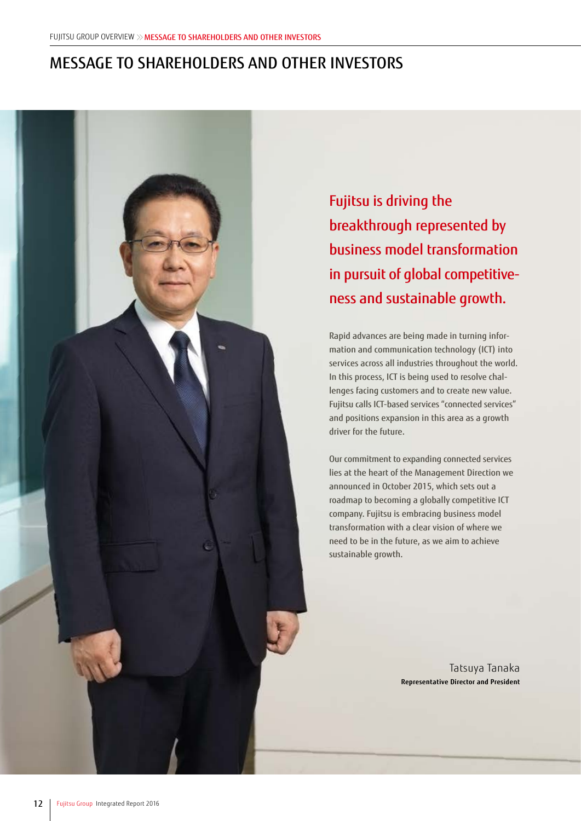# MESSAGE TO SHAREHOLDERS AND OTHER INVESTORS



Fujitsu is driving the breakthrough represented by business model transformation in pursuit of global competitiveness and sustainable growth.

Rapid advances are being made in turning information and communication technology (ICT) into services across all industries throughout the world. In this process, ICT is being used to resolve challenges facing customers and to create new value. Fujitsu calls ICT-based services "connected services" and positions expansion in this area as a growth driver for the future.

Our commitment to expanding connected services lies at the heart of the Management Direction we announced in October 2015, which sets out a roadmap to becoming a globally competitive ICT company. Fujitsu is embracing business model transformation with a clear vision of where we need to be in the future, as we aim to achieve sustainable growth.

> Tatsuya Tanaka **Representative Director and President**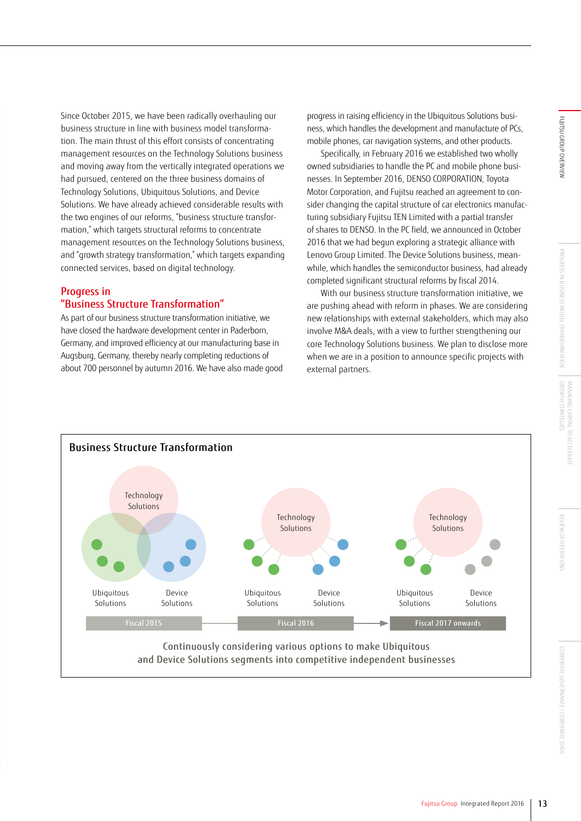REVIEW OF OPERATION

Since October 2015, we have been radically overhauling our business structure in line with business model transformation. The main thrust of this effort consists of concentrating management resources on the Technology Solutions business and moving away from the vertically integrated operations we had pursued, centered on the three business domains of Technology Solutions, Ubiquitous Solutions, and Device Solutions. We have already achieved considerable results with the two engines of our reforms, "business structure transformation," which targets structural reforms to concentrate management resources on the Technology Solutions business, and "growth strategy transformation," which targets expanding connected services, based on digital technology.

## Progress in "Business Structure Transformation"

As part of our business structure transformation initiative, we have closed the hardware development center in Paderborn, Germany, and improved efficiency at our manufacturing base in Augsburg, Germany, thereby nearly completing reductions of about 700 personnel by autumn 2016. We have also made good progress in raising efficiency in the Ubiquitous Solutions business, which handles the development and manufacture of PCs, mobile phones, car navigation systems, and other products.

Specifically, in February 2016 we established two wholly owned subsidiaries to handle the PC and mobile phone businesses. In September 2016, DENSO CORPORATION, Toyota Motor Corporation, and Fujitsu reached an agreement to consider changing the capital structure of car electronics manufacturing subsidiary Fujitsu TEN Limited with a partial transfer of shares to DENSO. In the PC field, we announced in October 2016 that we had begun exploring a strategic alliance with Lenovo Group Limited. The Device Solutions business, meanwhile, which handles the semiconductor business, had already completed significant structural reforms by fiscal 2014.

With our business structure transformation initiative, we are pushing ahead with reform in phases. We are considering new relationships with external stakeholders, which may also involve M&A deals, with a view to further strengthening our core Technology Solutions business. We plan to disclose more when we are in a position to announce specific projects with external partners.

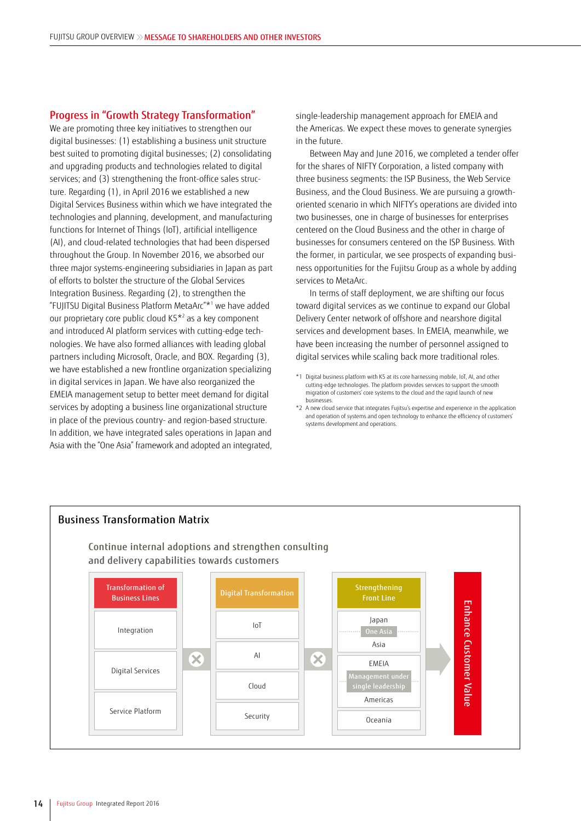### Progress in "Growth Strategy Transformation"

We are promoting three key initiatives to strengthen our digital businesses: (1) establishing a business unit structure best suited to promoting digital businesses; (2) consolidating and upgrading products and technologies related to digital services; and (3) strengthening the front-office sales structure. Regarding (1), in April 2016 we established a new Digital Services Business within which we have integrated the technologies and planning, development, and manufacturing functions for Internet of Things (IoT), artificial intelligence (AI), and cloud-related technologies that had been dispersed throughout the Group. In November 2016, we absorbed our three major systems-engineering subsidiaries in Japan as part of efforts to bolster the structure of the Global Services Integration Business. Regarding (2), to strengthen the "FUJITSU Digital Business Platform MetaArc"\*1 we have added our proprietary core public cloud K5\*2 as a key component and introduced AI platform services with cutting-edge technologies. We have also formed alliances with leading global partners including Microsoft, Oracle, and BOX. Regarding (3), we have established a new frontline organization specializing in digital services in Japan. We have also reorganized the EMEIA management setup to better meet demand for digital services by adopting a business line organizational structure in place of the previous country- and region-based structure. In addition, we have integrated sales operations in Japan and Asia with the "One Asia" framework and adopted an integrated,

single-leadership management approach for EMEIA and the Americas. We expect these moves to generate synergies in the future.

Between May and June 2016, we completed a tender offer for the shares of NIFTY Corporation, a listed company with three business segments: the ISP Business, the Web Service Business, and the Cloud Business. We are pursuing a growthoriented scenario in which NIFTY's operations are divided into two businesses, one in charge of businesses for enterprises centered on the Cloud Business and the other in charge of businesses for consumers centered on the ISP Business. With the former, in particular, we see prospects of expanding business opportunities for the Fujitsu Group as a whole by adding services to MetaArc.

In terms of staff deployment, we are shifting our focus toward digital services as we continue to expand our Global Delivery Center network of offshore and nearshore digital services and development bases. In EMEIA, meanwhile, we have been increasing the number of personnel assigned to digital services while scaling back more traditional roles.



<sup>\*1</sup> Digital business platform with K5 at its core harnessing mobile, IoT, AI, and other cutting-edge technologies. The platform provides services to support the smooth migration of customers' core systems to the cloud and the rapid launch of new businesses.

<sup>\*2</sup> A new cloud service that integrates Fujitsu's expertise and experience in the application and operation of systems and open technology to enhance the efficiency of customers' systems development and operations.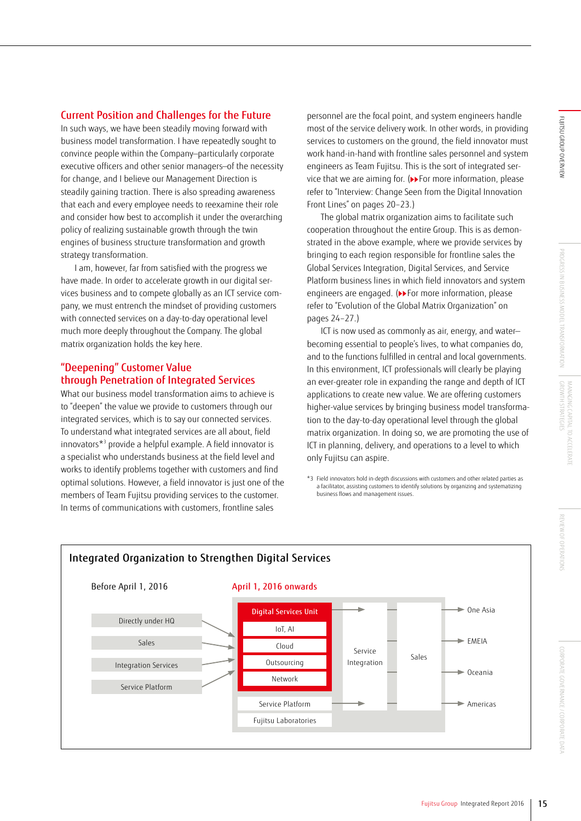## Current Position and Challenges for the Future

In such ways, we have been steadily moving forward with business model transformation. I have repeatedly sought to convince people within the Company—particularly corporate executive officers and other senior managers—of the necessity for change, and I believe our Management Direction is steadily gaining traction. There is also spreading awareness that each and every employee needs to reexamine their role and consider how best to accomplish it under the overarching policy of realizing sustainable growth through the twin engines of business structure transformation and growth strategy transformation.

I am, however, far from satisfied with the progress we have made. In order to accelerate growth in our digital services business and to compete globally as an ICT service company, we must entrench the mindset of providing customers with connected services on a day-to-day operational level much more deeply throughout the Company. The global matrix organization holds the key here.

## "Deepening" Customer Value through Penetration of Integrated Services

What our business model transformation aims to achieve is to "deepen" the value we provide to customers through our integrated services, which is to say our connected services. To understand what integrated services are all about, field innovators\*3 provide a helpful example. A field innovator is a specialist who understands business at the field level and works to identify problems together with customers and find optimal solutions. However, a field innovator is just one of the members of Team Fujitsu providing services to the customer. In terms of communications with customers, frontline sales

personnel are the focal point, and system engineers handle most of the service delivery work. In other words, in providing services to customers on the ground, the field innovator must work hand-in-hand with frontline sales personnel and system engineers as Team Fujitsu. This is the sort of integrated service that we are aiming for. (>>For more information, please refer to "Interview: Change Seen from the Digital Innovation Front Lines" on pages 20–23.)

The global matrix organization aims to facilitate such cooperation throughout the entire Group. This is as demonstrated in the above example, where we provide services by bringing to each region responsible for frontline sales the Global Services Integration, Digital Services, and Service Platform business lines in which field innovators and system engineers are engaged. (>>For more information, please refer to "Evolution of the Global Matrix Organization" on pages 24–27.)

ICT is now used as commonly as air, energy, and water becoming essential to people's lives, to what companies do, and to the functions fulfilled in central and local governments. In this environment, ICT professionals will clearly be playing an ever-greater role in expanding the range and depth of ICT applications to create new value. We are offering customers higher-value services by bringing business model transformation to the day-to-day operational level through the global matrix organization. In doing so, we are promoting the use of ICT in planning, delivery, and operations to a level to which only Fujitsu can aspire.

<sup>\*3</sup> Field innovators hold in-depth discussions with customers and other related parties as a facilitator, assisting customers to identify solutions by organizing and systematizing business flows and management issues.

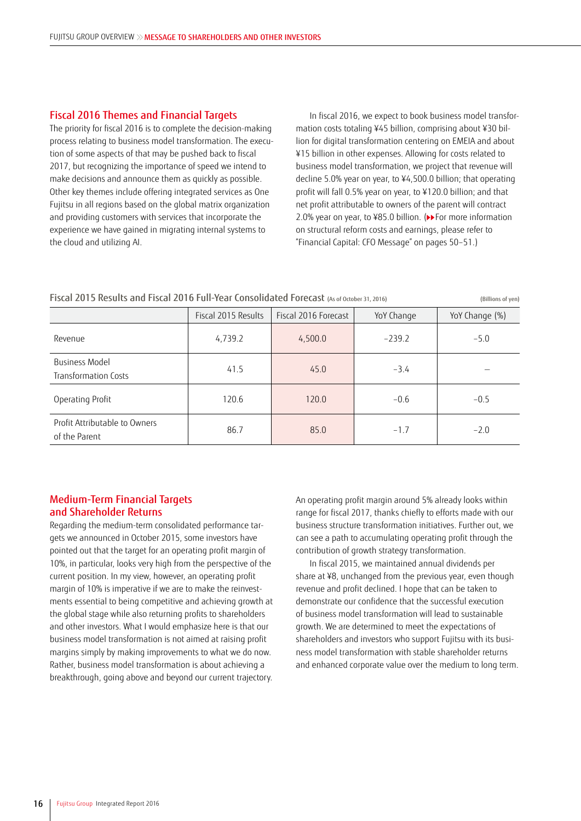## Fiscal 2016 Themes and Financial Targets

The priority for fiscal 2016 is to complete the decision-making process relating to business model transformation. The execution of some aspects of that may be pushed back to fiscal 2017, but recognizing the importance of speed we intend to make decisions and announce them as quickly as possible. Other key themes include offering integrated services as One Fujitsu in all regions based on the global matrix organization and providing customers with services that incorporate the experience we have gained in migrating internal systems to the cloud and utilizing AI.

In fiscal 2016, we expect to book business model transformation costs totaling ¥45 billion, comprising about ¥30 billion for digital transformation centering on EMEIA and about ¥15 billion in other expenses. Allowing for costs related to business model transformation, we project that revenue will decline 5.0% year on year, to ¥4,500.0 billion; that operating profit will fall 0.5% year on year, to ¥120.0 billion; and that net profit attributable to owners of the parent will contract 2.0% year on year, to ¥85.0 billion. (▶ For more information on structural reform costs and earnings, please refer to "Financial Capital: CFO Message" on pages 50–51.)

|  |  |  |  |  |  |  |  | Fiscal 2015 Results and Fiscal 2016 Full-Year Consolidated Forecast (As of October 31, 2016) | (Billions of yen) |
|--|--|--|--|--|--|--|--|----------------------------------------------------------------------------------------------|-------------------|
|--|--|--|--|--|--|--|--|----------------------------------------------------------------------------------------------|-------------------|

|                                                | Fiscal 2015 Results | Fiscal 2016 Forecast | YoY Change | YoY Change (%) |
|------------------------------------------------|---------------------|----------------------|------------|----------------|
| Revenue                                        | 4,739.2             | 4,500.0              | $-239.2$   | $-5.0$         |
| Business Model<br>Transformation Costs         | 41.5                | 45.0                 | $-3.4$     |                |
| Operating Profit                               | 120.6               | 120.0                | $-0.6$     | $-0.5$         |
| Profit Attributable to Owners<br>of the Parent | 86.7                | 85.0                 | $-1.7$     | $-2.0$         |

## Medium-Term Financial Targets and Shareholder Returns

Regarding the medium-term consolidated performance targets we announced in October 2015, some investors have pointed out that the target for an operating profit margin of 10%, in particular, looks very high from the perspective of the current position. In my view, however, an operating profit margin of 10% is imperative if we are to make the reinvestments essential to being competitive and achieving growth at the global stage while also returning profits to shareholders and other investors. What I would emphasize here is that our business model transformation is not aimed at raising profit margins simply by making improvements to what we do now. Rather, business model transformation is about achieving a breakthrough, going above and beyond our current trajectory.

An operating profit margin around 5% already looks within range for fiscal 2017, thanks chiefly to efforts made with our business structure transformation initiatives. Further out, we can see a path to accumulating operating profit through the contribution of growth strategy transformation.

In fiscal 2015, we maintained annual dividends per share at ¥8, unchanged from the previous year, even though revenue and profit declined. I hope that can be taken to demonstrate our confidence that the successful execution of business model transformation will lead to sustainable growth. We are determined to meet the expectations of shareholders and investors who support Fujitsu with its business model transformation with stable shareholder returns and enhanced corporate value over the medium to long term.